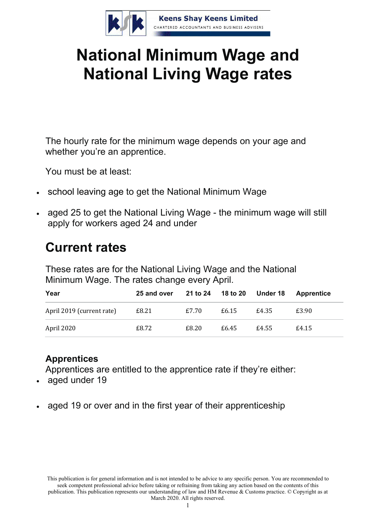

# **National Minimum Wage and National Living Wage rates**

The hourly rate for the minimum wage depends on your age and whether you're an apprentice.

You must be at least:

- school leaving age to get the National Minimum Wage
- aged 25 to get the National Living Wage the minimum wage will still apply for workers aged 24 and under

# **Current rates**

These rates are for the National Living Wage and the National Minimum Wage. The rates change every April.

| Year                      | 25 and over | 21 to 24 18 to 20 Under 18 |       |       | Apprentice |
|---------------------------|-------------|----------------------------|-------|-------|------------|
| April 2019 (current rate) | £8.21       | £7.70                      | £6.15 | £4.35 | £3.90      |
| April 2020                | £8.72       | £8.20                      | £6.45 | £4.55 | £4.15      |

### **Apprentices**

Apprentices are entitled to the apprentice rate if they're either:

- aged under 19
- aged 19 or over and in the first year of their apprenticeship

This publication is for general information and is not intended to be advice to any specific person. You are recommended to seek competent professional advice before taking or refraining from taking any action based on the contents of this publication. This publication represents our understanding of law and HM Revenue & Customs practice. © Copyright as at March 2020. All rights reserved.